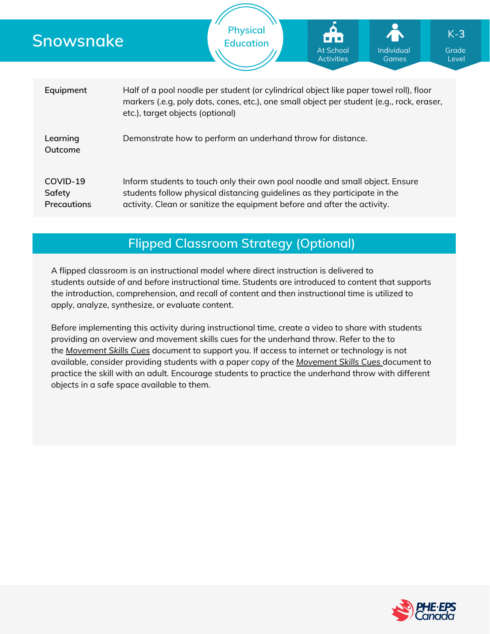| Snowsnake                                |                                                             | <b>Physical</b><br><b>Education</b>                                                                                                                                                                                                   | <b>At School</b><br><b>Activities</b> | Individual<br><b>Games</b> | $K-3$<br>Grade<br>Level |  |  |  |  |
|------------------------------------------|-------------------------------------------------------------|---------------------------------------------------------------------------------------------------------------------------------------------------------------------------------------------------------------------------------------|---------------------------------------|----------------------------|-------------------------|--|--|--|--|
| Equipment                                | etc.), target objects (optional)                            | Half of a pool noodle per student (or cylindrical object like paper towel roll), floor<br>markers (.e.g, poly dots, cones, etc.), one small object per student (e.g., rock, eraser,                                                   |                                       |                            |                         |  |  |  |  |
| Learning<br>Outcome                      | Demonstrate how to perform an underhand throw for distance. |                                                                                                                                                                                                                                       |                                       |                            |                         |  |  |  |  |
| COVID-19<br>Safety<br><b>Precautions</b> |                                                             | Inform students to touch only their own pool noodle and small object. Ensure<br>students follow physical distancing guidelines as they participate in the<br>activity. Clean or sanitize the equipment before and after the activity. |                                       |                            |                         |  |  |  |  |

# **Flipped Classroom Strategy (Optional)**

A flipped classroom is an instructional model where direct instruction is delivered to students *outside of* and *before* instructional time. Students are introduced to content that supports the introduction, comprehension, and recall of content and then instructional time is utilized to apply, analyze, synthesize, or evaluate content.

Before implementing this activity during instructional time, create a video to share with students providing an overview and movement skills cues for the underhand throw. Refer to the to the *[Movement](https://phecanada.ca/sites/default/files/content/docs/Home%20Learning%20Resource/Movement%20Cues/Movement%20Skills%20Cues%201.pdf) Skills Cues* document to support you. If access to internet or technology is not available, consider providing students with a paper copy of the *[Movement](https://phecanada.ca/sites/default/files/content/docs/Home%20Learning%20Resource/Movement%20Cues/Movement%20Skills%20Cues%201.pdf) Skills Cues* document to practice the skill with an adult. Encourage students to practice the underhand throw with different objects in a safe space available to them.

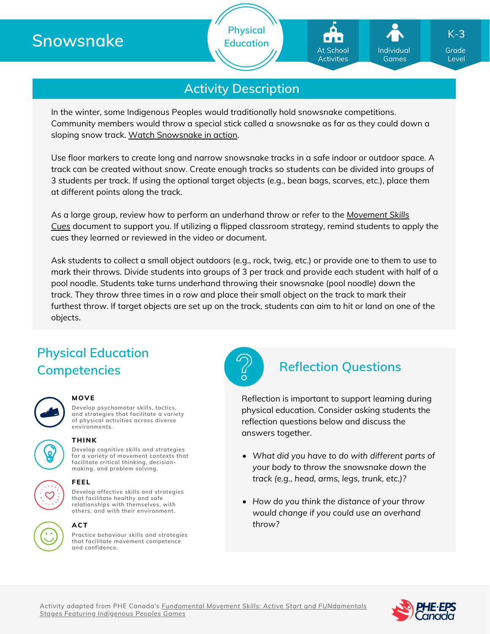# **Snowsnake**



**Physical Education**

In the winter, some Indigenous Peoples would traditionally hold snowsnake competitions. Community members would throw a special stick called a snowsnake as far as they could down a sloping snow track. Watch [Snowsnake](https://www.youtube.com/watch?v=piQx9v1gVMY) in action.

Use floor markers to create long and narrow snowsnake tracks in a safe indoor or outdoor space. A track can be created without snow. Create enough tracks so students can be divided into groups of 3 students per track. If using the optional target objects (e.g., bean bags, scarves, etc.), place them at different points along the track.

As a large group, review how to perform an [underhand](https://phecanada.ca/sites/default/files/content/docs/Home%20Learning%20Resource/Movement%20Cues/Movement%20Skills%20Cues%201.pdf) throw or refer to the *Movement Skills Cues* document to support you. If utilizing a flipped classroom strategy, remind students to apply the cues they learned or reviewed in the video or document.

Ask students to collect a small object outdoors (e.g., rock, twig, etc.) or provide one to them to use to mark their throws. Divide students into groups of 3 per track and provide each student with half of a pool noodle. Students take turns underhand throwing their snowsnake (pool noodle) down the track. They throw three times in a row and place their small object on the track to mark their furthest throw. If target objects are set up on the track, students can aim to hit or land on one of the objects.

# **Physical Education Competencies Reflection Questions**



### **MOVE**

**Develop psychomotor skills, tactics, and strategies that facilitate a variety of physical activities across diverse environments.**



**Develop cognitive skills and strategies for a variety of movement contexts that facilitate critical thinking, decision making, and problem solving. THINK**



## **ACT**

**Practice behaviour skills and strategies that facilitate movement competence and confidence.**



Reflection is important to support learning during physical education. Consider asking students the reflection questions below and discuss the answers together.

- *What did you have to do with different parts of your body to throw the snowsnake down the track (e.g., head, arms, legs, trunk, etc.)?*
- *How do you think the distance of your throw would change if you could use an overhand throw?*



Grade Level

Individual Games

At School Activities

K-**3**